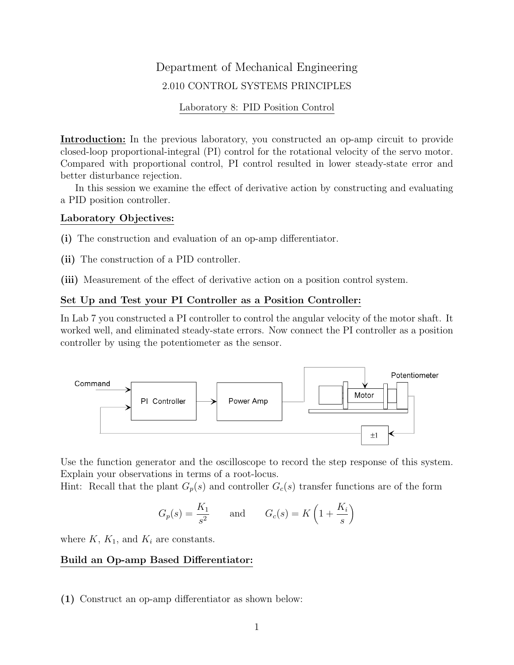# Department of Mechanical Engineering 2.010 CONTROL SYSTEMS PRINCIPLES

#### Laboratory 8: PID Position Control

Introduction: In the previous laboratory, you constructed an op-amp circuit to provide closed-loop proportional-integral (PI) control for the rotational velocity of the servo motor. Compared with proportional control, PI control resulted in lower steady-state error and better disturbance rejection.

In this session we examine the effect of derivative action by constructing and evaluating a PID position controller.

### Laboratory Objectives:

(i) The construction and evaluation of an op-amp differentiator.

- (ii) The construction of a PID controller.
- (iii) Measurement of the effect of derivative action on a position control system.

# Set Up and Test your PI Controller as a Position Controller:

In Lab 7 you constructed a PI controller to control the angular velocity of the motor shaft. It worked well, and eliminated steady-state errors. Now connect the PI controller as a position controller by using the potentiometer as the sensor.



Use the function generator and the oscilloscope to record the step response of this system. Explain your observations in terms of a root-locus.

Hint: Recall that the plant  $G_p(s)$  and controller  $G_c(s)$  transfer functions are of the form

$$
G_p(s) = \frac{K_1}{s^2} \quad \text{and} \quad G_c(s) = K\left(1 + \frac{K_i}{s}\right)
$$

where  $K$ ,  $K_1$ , and  $K_i$  are constants.

# Build an Op-amp Based Differentiator:

(1) Construct an op-amp differentiator as shown below: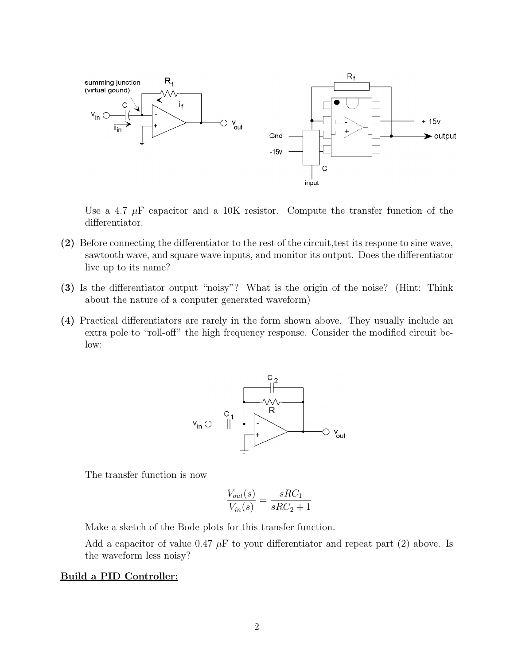

Use a 4.7  $\mu$ F capacitor and a 10K resistor. Compute the transfer function of the differentiator.

- (2) Before connecting the differentiator to the rest of the circuit,test its respone to sine wave, sawtooth wave, and square wave inputs, and monitor its output. Does the differentiator live up to its name?
- (3) Is the differentiator output "noisy"? What is the origin of the noise? (Hint: Think about the nature of a conputer generated waveform)
- (4) Practical differentiators are rarely in the form shown above. They usually include an extra pole to "roll-off" the high frequency response. Consider the modified circuit below:



The transfer function is now

$$
\frac{V_{out}(s)}{V_{in}(s)} = \frac{sRC_1}{sRC_2 + 1}
$$

Make a sketch of the Bode plots for this transfer function.

Add a capacitor of value 0.47  $\mu$ F to your differentiator and repeat part (2) above. Is the waveform less noisy?

#### Build a PID Controller: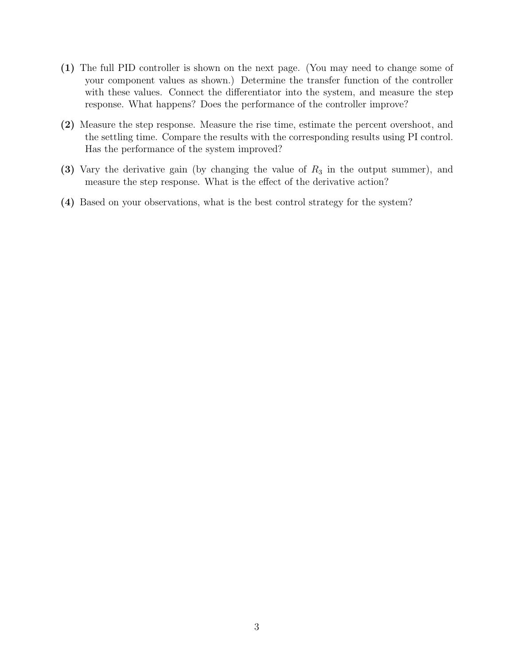- (1) The full PID controller is shown on the next page. (You may need to change some of your component values as shown.) Determine the transfer function of the controller with these values. Connect the differentiator into the system, and measure the step response. What happens? Does the performance of the controller improve?
- (2) Measure the step response. Measure the rise time, estimate the percent overshoot, and the settling time. Compare the results with the corresponding results using PI control. Has the performance of the system improved?
- (3) Vary the derivative gain (by changing the value of  $R_3$  in the output summer), and measure the step response. What is the effect of the derivative action?
- (4) Based on your observations, what is the best control strategy for the system?